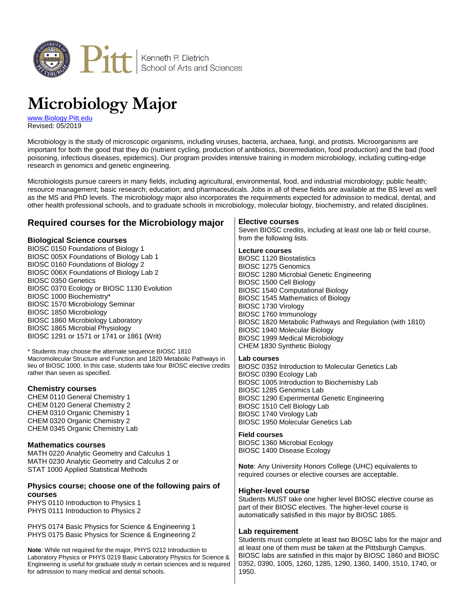

# **Microbiology Major**

[www.Biology.Pitt.edu](http://www.biology.pitt.edu/) Revised: 05/2019

Microbiology is the study of microscopic organisms, including viruses, bacteria, archaea, fungi, and protists. Microorganisms are important for both the good that they do (nutrient cycling, production of antibiotics, bioremediation, food production) and the bad (food poisoning, infectious diseases, epidemics). Our program provides intensive training in modern microbiology, including cutting-edge research in genomics and genetic engineering.

Microbiologists pursue careers in many fields, including agricultural, environmental, food, and industrial microbiology; public health; resource management; basic research; education; and pharmaceuticals. Jobs in all of these fields are available at the BS level as well as the MS and PhD levels. The microbiology major also incorporates the requirements expected for admission to medical, dental, and other health professional schools, and to graduate schools in microbiology, molecular biology, biochemistry, and related disciplines.

# **Required courses for the Microbiology major**

## **Biological Science courses**

BIOSC 0150 Foundations of Biology 1 BIOSC 005X Foundations of Biology Lab 1 BIOSC 0160 Foundations of Biology 2 BIOSC 006X Foundations of Biology Lab 2 BIOSC 0350 Genetics BIOSC 0370 Ecology or BIOSC 1130 Evolution BIOSC 1000 Biochemistry\* BIOSC 1570 Microbiology Seminar BIOSC 1850 Microbiology BIOSC 1860 Microbiology Laboratory BIOSC 1865 Microbial Physiology BIOSC 1291 or 1571 or 1741 or 1861 (Writ)

\* Students may choose the alternate sequence BIOSC 1810 Macromolecular Structure and Function and 1820 Metabolic Pathways in lieu of BIOSC 1000. In this case, students take four BIOSC elective credits rather than seven as specified.

## **Chemistry courses**

CHEM 0110 General Chemistry 1 CHEM 0120 General Chemistry 2 CHEM 0310 Organic Chemistry 1 CHEM 0320 Organic Chemistry 2 CHEM 0345 Organic Chemistry Lab

## **Mathematics courses**

MATH 0220 Analytic Geometry and Calculus 1 MATH 0230 Analytic Geometry and Calculus 2 or STAT 1000 Applied Statistical Methods

## **Physics course; choose one of the following pairs of courses**

PHYS 0110 Introduction to Physics 1 PHYS 0111 Introduction to Physics 2

PHYS 0174 Basic Physics for Science & Engineering 1 PHYS 0175 Basic Physics for Science & Engineering 2

**Note**: While not required for the major, PHYS 0212 Introduction to Laboratory Physics or PHYS 0219 Basic Laboratory Physics for Science & Engineering is useful for graduate study in certain sciences and is required for admission to many medical and dental schools.

## **Elective courses**

Seven BIOSC credits, including at least one lab or field course, from the following lists.

## **Lecture courses**

BIOSC 1120 Biostatistics BIOSC 1275 Genomics BIOSC 1280 Microbial Genetic Engineering BIOSC 1500 Cell Biology BIOSC 1540 Computational Biology BIOSC 1545 Mathematics of Biology BIOSC 1730 Virology BIOSC 1760 Immunology BIOSC 1820 Metabolic Pathways and Regulation (with 1810) BIOSC 1940 Molecular Biology BIOSC 1999 Medical Microbiology CHEM 1830 Synthetic Biology

## **Lab courses**

BIOSC 0352 Introduction to Molecular Genetics Lab BIOSC 0390 Ecology Lab BIOSC 1005 Introduction to Biochemistry Lab BIOSC 1285 Genomics Lab BIOSC 1290 Experimental Genetic Engineering BIOSC 1510 Cell Biology Lab BIOSC 1740 Virology Lab BIOSC 1950 Molecular Genetics Lab

## **Field courses**

BIOSC 1360 Microbial Ecology BIOSC 1400 Disease Ecology

**Note**: Any University Honors College (UHC) equivalents to required courses or elective courses are acceptable.

## **Higher-level course**

Students MUST take one higher level BIOSC elective course as part of their BIOSC electives. The higher-level course is automatically satisfied in this major by BIOSC 1865.

## **Lab requirement**

Students must complete at least two BIOSC labs for the major and at least one of them must be taken at the Pittsburgh Campus. BIOSC labs are satisfied in this major by BIOSC 1860 and BIOSC 0352, 0390, 1005, 1260, 1285, 1290, 1360, 1400, 1510, 1740, or 1950.